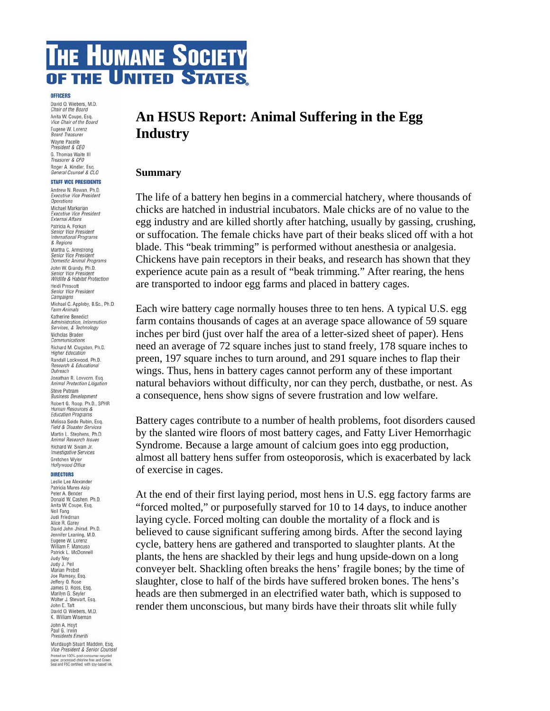# **THE HUMANE SOCIETY** OF THE UNITED STATES.

#### **OFFICERS**

David O. Wiebers, M.D. Chair of the Board Anita W. Coupe, Esq.<br>Vice Chair of the Board Eugene W. Lorenz **Board Treasurer** Wayne Pacelle President & CEO G. Thomas Waite III<br>Treasurer & CFO Roger A. Kindler, Esg. General Counsel & CLO

#### **STAFF VICE PRESIDENTS**

Andrew N. Rowan, Ph.D. **Executive Vice President Operations** Michael Markarian Executive Vice President<br>Executive Vice President Patricia A. Forkan Senior Vice President International Programs & Regions Martha C. Armstrong Senior Vice President Domestic Animal Programs John W. Grandy, Ph.D. Senior Vice President Wildlife & Habitat Protection Heidi Prescott Senior Vice President<br>Campaigns Michael C. Appleby, B.Sc., Ph.D. Farm Animals Katherine Benedict Administration, Information<br>Services, & Technology Nicholas Braden Communications Richard M. Clugston, Ph.D. **Higher Education** Randall Lockwood, Ph.D. Research & Educational Outreach Jonathan R. Lovvorn, Esq. Animal Protection Litigation Steve Putnam **Business Development** Robert G. Roop, Ph.D., SPHR Human Resources & **Education Programs** Melissa Seide Rubin, Esq. Field & Disaster Services Martin L. Stephens, Ph.D. Animal Research Issues Richard W. Swain Jr. Investigative Services Gretchen Wyler Hollywood Office

#### **DIRECTORS**

Leslie Lee Alexander Patricia Mares Asip Peter A. Bender Donald W. Cashen, Ph.D. Anita W. Coupe, Esq. Neil Fang<br>Judi Friedman Alice R. Garey David John Jhirad, Ph.D. Jennifer Leaning, M.D. Eugene W. Lorenz William F. Mancuso Patrick L. McDonnell Judy Nev Judy J. Peil Marian Probst Joe Ramsey, Esq.<br>Jeffery O. Rose James D. Ross, Esq. Marilyn G. Seyler Walter J. Stewart, Esq.<br>John E. Taft David O. Wiebers, M.D. K. William Wiseman John A. Hoyt Paul G. Irwin<br>Presidents Emeriti Murdaugh Stuart Madden, Esg. Vice President & Senior Counsel Printed on 100% post-consumer recycled<br>paper, processed chlorine free and Green<br>Seal and FSC certified, with soy-based ink.

# **An HSUS Report: Animal Suffering in the Egg Industry**

#### **Summary**

The life of a battery hen begins in a commercial hatchery, where thousands of chicks are hatched in industrial incubators. Male chicks are of no value to the egg industry and are killed shortly after hatching, usually by gassing, crushing, or suffocation. The female chicks have part of their beaks sliced off with a hot blade. This "beak trimming" is performed without anesthesia or analgesia. Chickens have pain receptors in their beaks, and research has shown that they experience acute pain as a result of "beak trimming." After rearing, the hens are transported to indoor egg farms and placed in battery cages.

Each wire battery cage normally houses three to ten hens. A typical U.S. egg farm contains thousands of cages at an average space allowance of 59 square inches per bird (just over half the area of a letter-sized sheet of paper). Hens need an average of 72 square inches just to stand freely, 178 square inches to preen, 197 square inches to turn around, and 291 square inches to flap their wings. Thus, hens in battery cages cannot perform any of these important natural behaviors without difficulty, nor can they perch, dustbathe, or nest. As a consequence, hens show signs of severe frustration and low welfare.

Battery cages contribute to a number of health problems, foot disorders caused by the slanted wire floors of most battery cages, and Fatty Liver Hemorrhagic Syndrome. Because a large amount of calcium goes into egg production, almost all battery hens suffer from osteoporosis, which is exacerbated by lack of exercise in cages.

At the end of their first laying period, most hens in U.S. egg factory farms are "forced molted," or purposefully starved for 10 to 14 days, to induce another laying cycle. Forced molting can double the mortality of a flock and is believed to cause significant suffering among birds. After the second laying cycle, battery hens are gathered and transported to slaughter plants. At the plants, the hens are shackled by their legs and hung upside-down on a long conveyer belt. Shackling often breaks the hens' fragile bones; by the time of slaughter, close to half of the birds have suffered broken bones. The hens's heads are then submerged in an electrified water bath, which is supposed to render them unconscious, but many birds have their throats slit while fully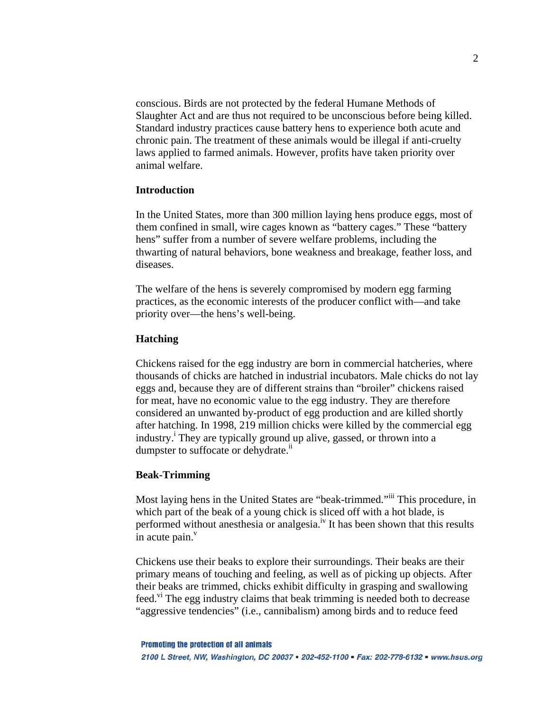conscious. Birds are not protected by the federal Humane Methods of Slaughter Act and are thus not required to be unconscious before being killed. Standard industry practices cause battery hens to experience both acute and chronic pain. The treatment of these animals would be illegal if anti-cruelty laws applied to farmed animals. However, profits have taken priority over animal welfare.

#### **Introduction**

In the United States, more than 300 million laying hens produce eggs, most of them confined in small, wire cages known as "battery cages." These "battery hens" suffer from a number of severe welfare problems, including the thwarting of natural behaviors, bone weakness and breakage, feather loss, and diseases.

The welfare of the hens is severely compromised by modern egg farming practices, as the economic interests of the producer conflict with—and take priority over—the hens's well-being.

#### **Hatching**

Chickens raised for the egg industry are born in commercial hatcheries, where thousands of chicks are hatched in industrial incubators. Male chicks do not lay eggs and, because they are of different strains than "broiler" chickens raised for meat, have no economic value to the egg industry. They are therefore considered an unwanted by-product of egg production and are killed shortly after hatching. In 1998, 219 million chicks were killed by the commercial egg industry.<sup>i</sup> They are typically ground up alive, gassed, or thrown into a dumpster to suffocate or dehydrate.<sup>[ii](#page-10-1)</sup>

#### **Beak-Trimming**

Most laying hens in the United States are "beak-trimmed."<sup>iii</sup> This procedure, in which part of the beak of a young chick is sliced off with a hot blade, is performed without anesthesia or analgesia.<sup>iv</sup> It has been shown that this results in acute pain. $v$ 

Chickens use their beaks to explore their surroundings. Their beaks are their primary means of touching and feeling, as well as of picking up objects. After their beaks are trimmed, chicks exhibit difficulty in grasping and swallowing feed.<sup>vi</sup> The egg industry claims that beak trimming is needed both to decrease "aggressive tendencies" (i.e., cannibalism) among birds and to reduce feed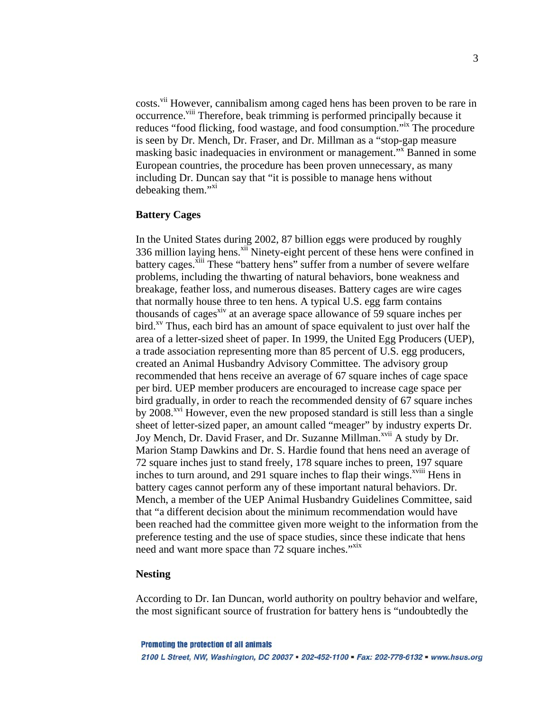costs.<sup>vii</sup> However, cannibalism among caged hens has been proven to be rare in occurrence.<sup>viii</sup> Therefore, beak trimming is performed principally because it reduces "food flicking, food wastage, and food consumption."[ix](#page-10-8) The procedure is seen by Dr. Mench, Dr. Fraser, and Dr. Millman as a "stop-gap measure masking basic inadequacies in environment or management."<sup>X</sup> Banned in some European countries, the procedure has been proven unnecessary, as many including Dr. Duncan say that "it is possible to manage hens without debeaking them."<sup>[xi](#page-10-10)</sup>

### **Battery Cages**

In the United States during 2002, 87 billion eggs were produced by roughly 336 million laying hens.<sup>xii</sup> Ninety-eight percent of these hens were confined in battery cages.<sup>xiii</sup> These "battery hens" suffer from a number of severe welfare problems, including the thwarting of natural behaviors, bone weakness and breakage, feather loss, and numerous diseases. Battery cages are wire cages that normally house three to ten hens. A typical U.S. egg farm contains thousands of cages<sup>xiv</sup> at an average space allowance of 59 square inches per  $\text{bird.}^{\text{xy}}$  Thus, each bird has an amount of space equivalent to just over half the area of a letter-sized sheet of paper. In 1999, the United Egg Producers (UEP), a trade association representing more than 85 percent of U.S. egg producers, created an Animal Husbandry Advisory Committee. The advisory group recommended that hens receive an average of 67 square inches of cage space per bird. UEP member producers are encouraged to increase cage space per bird gradually, in order to reach the recommended density of 67 square inches by 2008.<sup>xvi</sup> However, even the new proposed standard is still less than a single sheet of letter-sized paper, an amount called "meager" by industry experts Dr. Joy Mench, Dr. David Fraser, and Dr. Suzanne Millman.<sup>xvii</sup> A study by Dr. Marion Stamp Dawkins and Dr. S. Hardie found that hens need an average of 72 square inches just to stand freely, 178 square inches to preen, 197 square inches to turn around, and 291 square inches to flap their wings.<sup>xviii</sup> Hens in battery cages cannot perform any of these important natural behaviors. Dr. Mench, a member of the UEP Animal Husbandry Guidelines Committee, said that "a different decision about the minimum recommendation would have been reached had the committee given more weight to the information from the preference testing and the use of space studies, since these indicate that hens need and want more space than 72 square inches."<sup>[xix](#page-10-18)</sup>

## **Nesting**

According to Dr. Ian Duncan, world authority on poultry behavior and welfare, the most significant source of frustration for battery hens is "undoubtedly the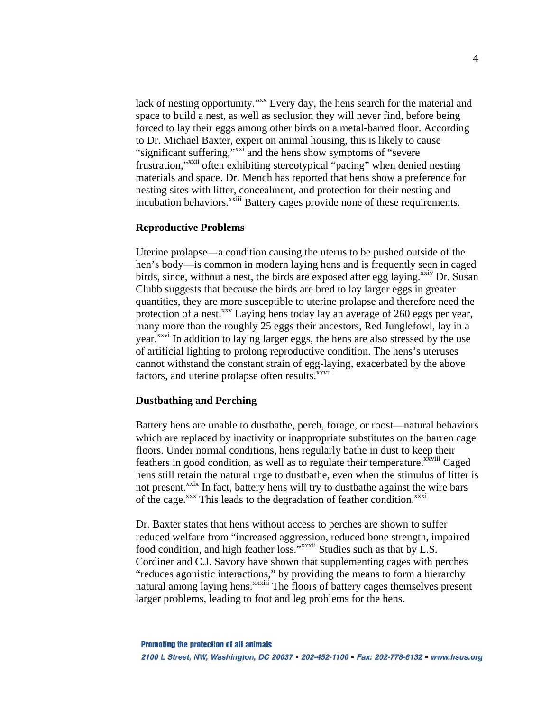lack of nesting opportunity."<sup>xx</sup> Every day, the hens search for the material and space to build a nest, as well as seclusion they will never find, before being forced to lay their eggs among other birds on a metal-barred floor. According to Dr. Michael Baxter, expert on animal housing, this is likely to cause "significant suffering,"[xxi](#page-10-20) and the hens show symptoms of "severe frustration,["xxii](#page-10-21) often exhibiting stereotypical "pacing" when denied nesting materials and space. Dr. Mench has reported that hens show a preference for nesting sites with litter, concealment, and protection for their nesting and incubation behaviors.<sup>xxiii</sup> Battery cages provide none of these requirements.

#### **Reproductive Problems**

Uterine prolapse—a condition causing the uterus to be pushed outside of the hen's body—is common in modern laying hens and is frequently seen in caged birds, since, without a nest, the birds are exposed after egg laying.<sup> $x$ iv</sup> Dr. Susan Clubb suggests that because the birds are bred to lay larger eggs in greater quantities, they are more susceptible to uterine prolapse and therefore need the protection of a nest.<sup> $xxy$ </sup> Laying hens today lay an average of 260 eggs per year, many more than the roughly 25 eggs their ancestors, Red Junglefowl, lay in a year.<sup>xxvi</sup> In addition to laying larger eggs, the hens are also stressed by the use of artificial lighting to prolong reproductive condition. The hens's uteruses cannot withstand the constant strain of egg-laying, exacerbated by the above factors, and uterine prolapse often results.<sup>xxvii</sup>

#### **Dustbathing and Perching**

Battery hens are unable to dustbathe, perch, forage, or roost—natural behaviors which are replaced by inactivity or inappropriate substitutes on the barren cage floors. Under normal conditions, hens regularly bathe in dust to keep their feathers in good condition, as well as to regulate their temperature.<sup>xxviii</sup> Caged hens still retain the natural urge to dustbathe, even when the stimulus of litter is not present.<sup>xxix</sup> In fact, battery hens will try to dustbathe against the wire bars of the cage.<sup>xxx</sup> This leads to the degradation of feather condition.<sup>xxxi</sup>

Dr. Baxter states that hens without access to perches are shown to suffer reduced welfare from "increased aggression, reduced bone strength, impaired food condition, and high feather loss."<sup>xxxii</sup> Studies such as that by L.S. Cordiner and C.J. Savory have shown that supplementing cages with perches "reduces agonistic interactions," by providing the means to form a hierarchy natural among laying hens.<sup>xxxiii</sup> The floors of battery cages themselves present larger problems, leading to foot and leg problems for the hens.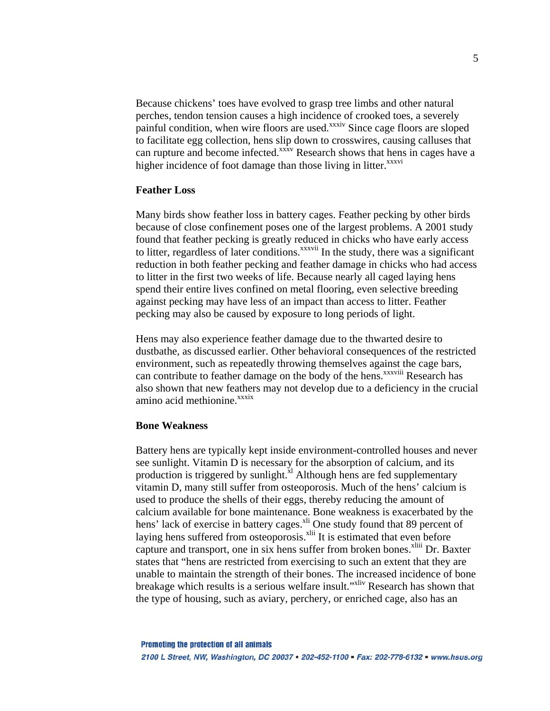Because chickens' toes have evolved to grasp tree limbs and other natural perches, tendon tension causes a high incidence of crooked toes, a severely painful condition, when wire floors are used.<sup>xxxiv</sup> Since cage floors are sloped to facilitate egg collection, hens slip down to crosswires, causing calluses that can rupture and become infected.<sup>xxxv</sup> Research shows that hens in cages have a higher incidence of foot damage than those living in litter.<sup>xxxvi</sup>

#### **Feather Loss**

Many birds show feather loss in battery cages. Feather pecking by other birds because of close confinement poses one of the largest problems. A 2001 study found that feather pecking is greatly reduced in chicks who have early access to litter, regardless of later conditions. $\frac{x}{x}$ <sup>xxxvii</sup> In the study, there was a significant reduction in both feather pecking and feather damage in chicks who had access to litter in the first two weeks of life. Because nearly all caged laying hens spend their entire lives confined on metal flooring, even selective breeding against pecking may have less of an impact than access to litter. Feather pecking may also be caused by exposure to long periods of light.

Hens may also experience feather damage due to the thwarted desire to dustbathe, as discussed earlier. Other behavioral consequences of the restricted environment, such as repeatedly throwing themselves against the cage bars, can contribute to feather damage on the body of the hens.<sup>xxxviii</sup> Research has also shown that new feathers may not develop due to a deficiency in the crucial amino acid methionine.<sup>xxxix</sup>

#### **Bone Weakness**

Battery hens are typically kept inside environment-controlled houses and never see sunlight. Vitamin D is necessary for the absorption of calcium, and its production is triggered by sunlight. $x<sup>1</sup>$  Although hens are fed supplementary vitamin D, many still suffer from osteoporosis. Much of the hens' calcium is used to produce the shells of their eggs, thereby reducing the amount of calcium available for bone maintenance. Bone weakness is exacerbated by the hens' lack of exercise in battery cages.<sup>xli</sup> One study found that 89 percent of laying hens suffered from osteoporosis.<sup>xlii</sup> It is estimated that even before capture and transport, one in six hens suffer from broken bones.<sup>xliii</sup> Dr. Baxter states that "hens are restricted from exercising to such an extent that they are unable to maintain the strength of their bones. The increased incidence of bone breakage which results is a serious welfare insult."<sup>xliv</sup> Research has shown that the type of housing, such as aviary, perchery, or enriched cage, also has an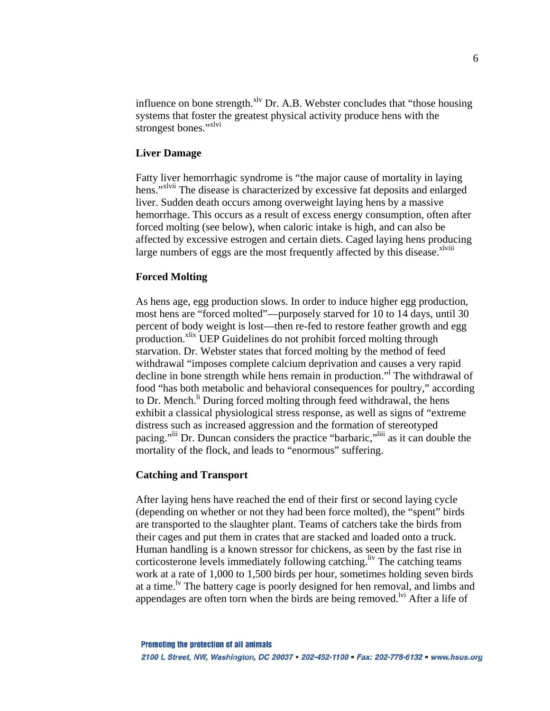influence on bone strength.<sup>xlv</sup> Dr. A.B. Webster concludes that "those housing systems that foster the greatest physical activity produce hens with the strongest bones."[xlvi](#page-10-45)

## **Liver Damage**

Fatty liver hemorrhagic syndrome is "the major cause of mortality in laying hens.["xlvii](#page-10-46) The disease is characterized by excessive fat deposits and enlarged liver. Sudden death occurs among overweight laying hens by a massive hemorrhage. This occurs as a result of excess energy consumption, often after forced molting (see below), when caloric intake is high, and can also be affected by excessive estrogen and certain diets. Caged laying hens producing large numbers of eggs are the most frequently affected by this disease.<sup> $x$ lviii</sup>

## **Forced Molting**

As hens age, egg production slows. In order to induce higher egg production, most hens are "forced molted"—purposely starved for 10 to 14 days, until 30 percent of body weight is lost—then re-fed to restore feather growth and egg production.<sup>xlix</sup> UEP Guidelines do not prohibit forced molting through starvation. Dr. Webster states that forced molting by the method of feed withdrawal "imposes complete calcium deprivation and causes a very rapid decline in bone strength while hens remain in production."<sup>l</sup> The withdrawal of food "has both metabolic and behavioral consequences for poultry," according to Dr. Mench.<sup>li</sup> During forced molting through feed withdrawal, the hens exhibit a classical physiological stress response, as well as signs of "extreme distress such as increased aggression and the formation of stereotyped pacing."<sup>lii</sup> Dr. Duncan considers the practice "barbaric,"<sup>liii</sup> as it can double the mortality of the flock, and leads to "enormous" suffering.

#### **Catching and Transport**

After laying hens have reached the end of their first or second laying cycle (depending on whether or not they had been force molted), the "spent" birds are transported to the slaughter plant. Teams of catchers take the birds from their cages and put them in crates that are stacked and loaded onto a truck. Human handling is a known stressor for chickens, as seen by the fast rise in corticosterone levels immediately following catching.<sup>liv</sup> The catching teams work at a rate of 1,000 to 1,500 birds per hour, sometimes holding seven birds at a time.<sup>1v</sup> The battery cage is poorly designed for hen removal, and limbs and appendages are often torn when the birds are being removed.<sup>Ivi</sup> After a life of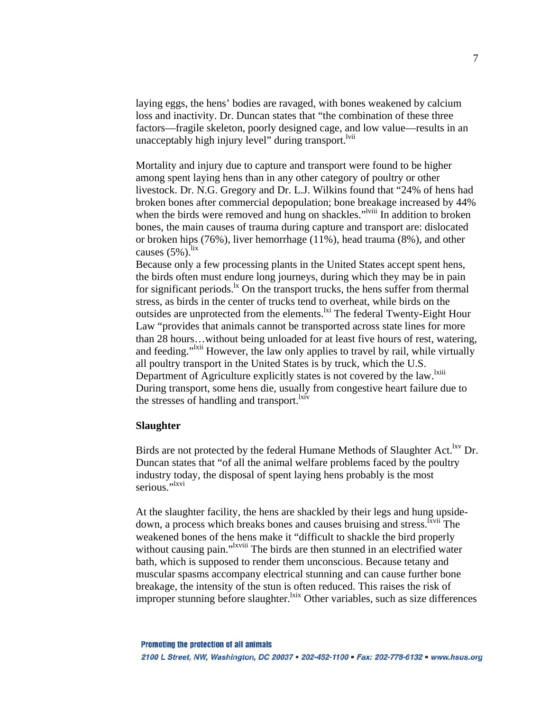laying eggs, the hens' bodies are ravaged, with bones weakened by calcium loss and inactivity. Dr. Duncan states that "the combination of these three factors—fragile skeleton, poorly designed cage, and low value—results in an unacceptably high injury level" during transport.<sup>Ivii</sup>

Mortality and injury due to capture and transport were found to be higher among spent laying hens than in any other category of poultry or other livestock. Dr. N.G. Gregory and Dr. L.J. Wilkins found that "24% of hens had broken bones after commercial depopulation; bone breakage increased by 44% when the birds were removed and hung on shackles."<sup>Iviii</sup> In addition to broken bones, the main causes of trauma during capture and transport are: dislocated or broken hips (76%), liver hemorrhage (11%), head trauma (8%), and other causes  $(5\%)$ .<sup>lix</sup>

Because only a few processing plants in the United States accept spent hens, the birds often must endure long journeys, during which they may be in pain for significant periods.<sup>1x</sup> On the transport trucks, the hens suffer from thermal stress, as birds in the center of trucks tend to overheat, while birds on the outsides are unprotected from the elements.<sup>1xi</sup> The federal Twenty-Eight Hour Law "provides that animals cannot be transported across state lines for more than 28 hours…without being unloaded for at least five hours of rest, watering, and feeding."<sup>1xii</sup> However, the law only applies to travel by rail, while virtually all poultry transport in the United States is by truck, which the U.S. Department of Agriculture explicitly states is not covered by the law.<sup>[lxiii](#page-10-29)</sup> During transport, some hens die, usually from congestive heart failure due to the stresses of handling and transport.<sup>lxiv</sup>

#### **Slaughter**

Birds are not protected by the federal Humane Methods of Slaughter Act.<sup>lxv</sup> Dr. Duncan states that "of all the animal welfare problems faced by the poultry industry today, the disposal of spent laying hens probably is the most serious."<sup>1xvi</sup>

At the slaughter facility, the hens are shackled by their legs and hung upsidedown, a process which breaks bones and causes bruising and stress.<sup>Ixvii</sup> The weakened bones of the hens make it "difficult to shackle the bird properly without causing pain."<sup>Ixviii</sup> The birds are then stunned in an electrified water bath, which is supposed to render them unconscious. Because tetany and muscular spasms accompany electrical stunning and can cause further bone breakage, the intensity of the stun is often reduced. This raises the risk of improper stunning before slaughter.<sup>lxix</sup> Other variables, such as size differences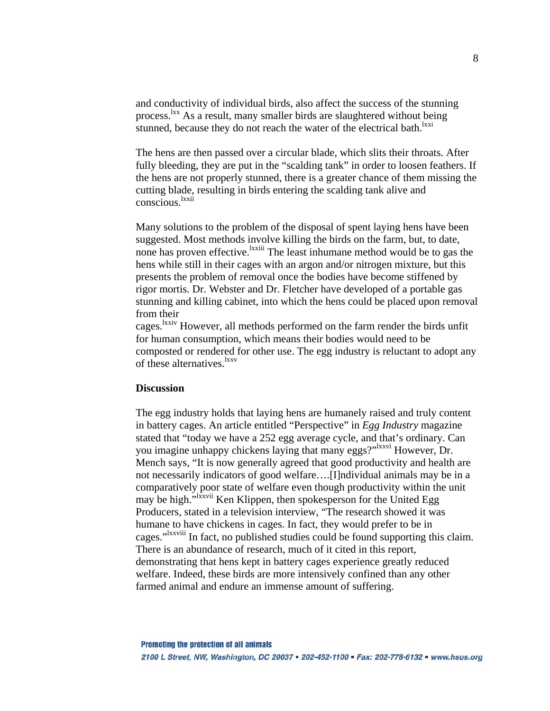and conductivity of individual birds, also affect the success of the stunning process.<sup>lxx</sup> As a result, many smaller birds are slaughtered without being stunned, because they do not reach the water of the electrical bath.<sup>lxxi</sup>

The hens are then passed over a circular blade, which slits their throats. After fully bleeding, they are put in the "scalding tank" in order to loosen feathers. If the hens are not properly stunned, there is a greater chance of them missing the cutting blade, resulting in birds entering the scalding tank alive and conscious[.lxxii](#page-10-70)

Many solutions to the problem of the disposal of spent laying hens have been suggested. Most methods involve killing the birds on the farm, but, to date, none has proven effective.<sup>lxxiii</sup> The least inhumane method would be to gas the hens while still in their cages with an argon and/or nitrogen mixture, but this presents the problem of removal once the bodies have become stiffened by rigor mortis. Dr. Webster and Dr. Fletcher have developed of a portable gas stunning and killing cabinet, into which the hens could be placed upon removal from their

cages.[lxxiv](#page-10-72) However, all methods performed on the farm render the birds unfit for human consumption, which means their bodies would need to be composted or rendered for other use. The egg industry is reluctant to adopt any of these alternatives[.lxxv](#page-10-73)

#### **Discussion**

The egg industry holds that laying hens are humanely raised and truly content in battery cages. An article entitled "Perspective" in *Egg Industry* magazine stated that "today we have a 252 egg average cycle, and that's ordinary. Can you imagine unhappy chickens laying that many eggs?"<sup>Ixxvi</sup> However, Dr. Mench says, "It is now generally agreed that good productivity and health are not necessarily indicators of good welfare….[I]ndividual animals may be in a comparatively poor state of welfare even though productivity within the unit may be high."<sup>Ixxvii</sup> Ken Klippen, then spokesperson for the United Egg Producers, stated in a television interview, "The research showed it was humane to have chickens in cages. In fact, they would prefer to be in cages.["lxxviii](#page-10-76) In fact, no published studies could be found supporting this claim. There is an abundance of research, much of it cited in this report, demonstrating that hens kept in battery cages experience greatly reduced welfare. Indeed, these birds are more intensively confined than any other farmed animal and endure an immense amount of suffering.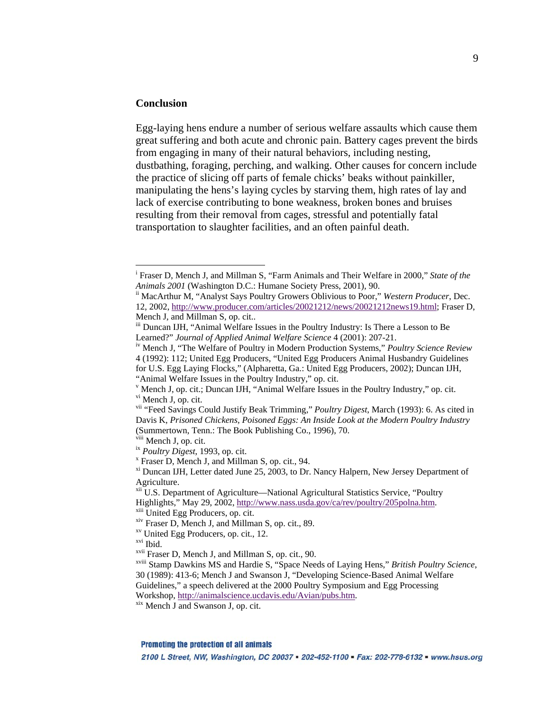# **Conclusion**

 $\overline{a}$ 

Egg-laying hens endure a number of serious welfare assaults which cause them great suffering and both acute and chronic pain. Battery cages prevent the birds from engaging in many of their natural behaviors, including nesting, dustbathing, foraging, perching, and walking. Other causes for concern include the practice of slicing off parts of female chicks' beaks without painkiller, manipulating the hens's laying cycles by starving them, high rates of lay and lack of exercise contributing to bone weakness, broken bones and bruises resulting from their removal from cages, stressful and potentially fatal transportation to slaughter facilities, and an often painful death.

**Promoting the protection of all animals** 

2100 L Street, NW, Washington, DC 20037 = 202-452-1100 = Fax: 202-778-6132 = www.hsus.org

i Fraser D, Mench J, and Millman S, "Farm Animals and Their Welfare in 2000," *State of the Animals 2001* (Washington D.C.: Humane Society Press, 2001), 90.<br><sup>ii</sup> MacArthur M, "Analyst Says Poultry Growers Oblivious to Poor," *Western Producer*, Dec.

<sup>12, 2002,</sup><http://www.producer.com/articles/20021212/news/20021212news19.html>; Fraser D, Mench J, and Millman S, op. cit..

iii Duncan IJH, "Animal Welfare Issues in the Poultry Industry: Is There a Lesson to Be<br>Learned?" Journal of Applied Animal Welfare Science 4 (2001): 207-21.

<sup>&</sup>lt;sup>iv</sup> Mench J, "The Welfare of Poultry in Modern Production Systems," *Poultry Science Review* 4 (1992): 112; United Egg Producers, "United Egg Producers Animal Husbandry Guidelines for U.S. Egg Laying Flocks," (Alpharetta, Ga.: United Egg Producers, 2002); Duncan IJH, "Animal Welfare Issues in the Poultry Industry," op. cit.

<sup>&</sup>lt;sup>v</sup> Mench J, op. cit.; Duncan IJH, "Animal Welfare Issues in the Poultry Industry," op. cit.<br><sup>vi</sup> Mench J, op. cit.

vii "Feed Savings Could Justify Beak Trimming," *Poultry Digest*, March (1993): 6. As cited in Davis K, *Prisoned Chickens, Poisoned Eggs: An Inside Look at the Modern Poultry Industry* (Summertown, Tenn.: The Book Publishing Co., 1996), 70.<br><sup>ix</sup> *Poultry Digest*, 1993, op. cit.<br><sup>ix</sup> *Poultry Digest*, 1993, op. cit.<br><sup>x</sup> Fraser D, Mench J, and Millman S, op. cit., 94.

 $F<sup>xi</sup>$  Duncan IJH, Letter dated June 25, 2003, to Dr. Nancy Halpern, New Jersey Department of Agriculture.

<sup>&</sup>lt;sup>xii</sup> U.S. Department of Agriculture—National Agricultural Statistics Service, "Poultry Highlights," May 29, 2002, <u><http://www.nass.usda.gov/ca/rev/poultry/205polna.htm>.</u> xi<sup>i</sup> United Egg Producers, op. cit. xii. 89. xv United Egg Producers, op. cit., 12. xvi Ibid. xvii Fraser D. Mench J, and Millman S, op. c

<sup>&</sup>lt;sup>xviii</sup> Stamp Dawkins MS and Hardie S, "Space Needs of Laying Hens," *British Poultry Science*, 30 (1989): 413-6; Mench J and Swanson J, "Developing Science-Based Animal Welfare Guidelines," a speech delivered at the 2000 Poultry Symposium and Egg Processing

Workshop, <http://animalscience.ucdavis.edu/Avian/pubs.htm>.<br>xix Mench J and Swanson J, op. cit.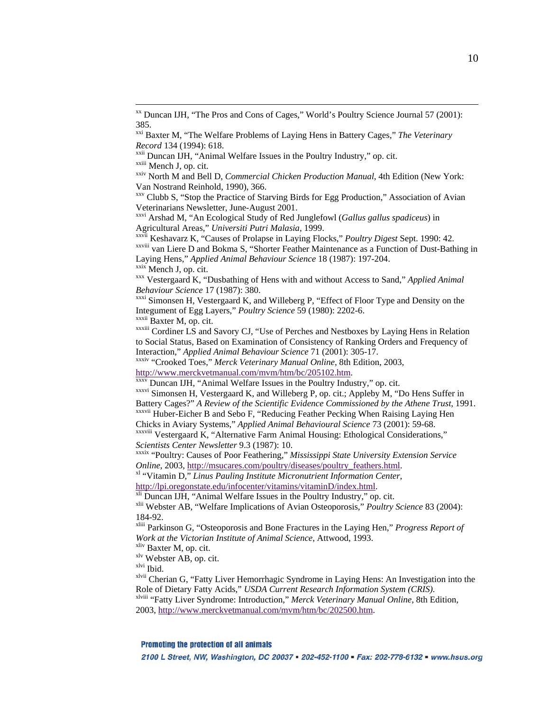$\overline{a}$ 

Veterinarians Newsletter, June-August 2001.<br><sup>xxvi</sup> Arshad M, "An Ecological Study of Red Junglefowl (*Gallus gallus spadiceus*) in<br>Agricultural Areas," *Universiti Putri Malasia*, 1999.

xxvii Keshavarz K, "Causes of Prolapse in Laying Flocks," Poultry Digest Sept. 1990: 42.<br>xxviii van Liere D and Bokma S, "Shorter Feather Maintenance as a Function of Dust-Bathing in

Laying Hens," *Applied Animal Behaviour Science* 18 (1987): 197-204.<br><sup>xxx</sup> Mench J, op. cit. Xxx Vestergaard K, "Dusbathing of Hens with and without Access to Sand," *Applied Animal* 

*Behaviour Science* 17 (1987): 380.<br><sup>xxxi</sup> Simonsen H, Vestergaard K, and Willeberg P, "Effect of Floor Type and Density on the<br>Integument of Egg Layers," *Poultry Science* 59 (1980): 2202-6.

<sup>XXXII</sup> Baxter M, op. cit.<br><sup>XXXIII</sup> Cordiner LS and Savory CJ, "Use of Perches and Nestboxes by Laying Hens in Relation to Social Status, Based on Examination of Consistency of Ranking Orders and Frequency of Interaction," *Applied Animal Behaviour Science* 71 (2001): 305-17. xxxiv "Crooked Toes," *Merck Veterinary Manual Online*, 8th Edition, 2003,

<http://www.merckvetmanual.com/mvm/htm/bc/205102.htm>.<br><sup>xxxv</sup> Duncan IJH, "Animal Welfare Issues in the Poultry Industry," op. cit.

xxxvi Simonsen H, Vestergaard K, and Willeberg P, op. cit.; Appleby M, "Do Hens Suffer in Battery Cages?" *A Review of the Scientific Evidence Commissioned by the Athene Trust*, 1991.<br><sup>xxxvii</sup> Huber-Eicher B and Sebo F, "Reducing Feather Pecking When Raising Laying Hen<br>Chicks in Aviary Systems," *Applied Animal* 

<sup>XXXVIII</sup> Vestergaard K, "Alternative Farm Animal Housing: Ethological Considerations,"

*Scientists Center Newsletter* 9.3 (1987): 10.<br><sup>xxxix</sup> "Poultry: Causes of Poor Feathering," *Mississippi State University Extension Service*<br>*Online*, 2003, <u>http://msucares.com/poultry/diseases/poultry feathers.html</u>.

<sup>*xl "Vitamin D," Linus Pauling Institute Micronutrient Information Center,*</sup>

<http://lpi.oregonstate.edu/infocenter/vitamins/vitaminD/index.html>.<br>
<sup>[xli](http://lpi.oregonstate.edu/infocenter/vitamins/vitaminD/index.html)</sup> Duncan IJH, "Animal Welfare Issues in the Poultry Industry," op. cit.<br>
<sup>xlii</sup> Webster AB, "Welfare Implications of Avian Osteoporosis," *Poultry Sc* 184-92. xliii Parkinson G, "Osteoporosis and Bone Fractures in the Laying Hen," *Progress Report of*

*Work at the Victorian Institute of Animal Science*, Attwood, 1993.

 $x<sup>liv</sup>$  Baxter M, op. cit.<br> $x<sup>liv</sup>$  Webster AB, op. cit.

xlvi Ibid.

<sup>xlvii</sup> Cherian G, "Fatty Liver Hemorrhagic Syndrome in Laying Hens: An Investigation into the Role of Dietary Fatty Acids," *USDA Current Research Information System (CRIS)*. Role of Dietary Fatty Acids," *USDA Current Research Information System (CRIS)*. xlviii "Fatty Liver Syndrome: Introduction," *Merck Veterinary Manual Online*, 8th Edition,

2003,<http://www.merckvetmanual.com/mvm/htm/bc/202500.htm>.

**Promoting the protection of all animals** 

2100 L Street, NW, Washington, DC 20037 = 202-452-1100 = Fax: 202-778-6132 = www.hsus.org

xx Duncan IJH, "The Pros and Cons of Cages," World's Poultry Science Journal 57 (2001): 385. xxi Baxter M, "The Welfare Problems of Laying Hens in Battery Cages," *The Veterinary* 

Record 134 (1994): 618.<br>
<sup>xxii</sup> Duncan IJH, "Animal Welfare Issues in the Poultry Industry," op. cit.<br>
<sup>xxiii</sup> Mench J, op. cit.<br>
<sup>xxiv</sup> North M and Bell D, *Commercial Chicken Production Manual*, 4th Edition (New York:

Van Nostrand Reinhold, 1990), 366.<br><sup>xxv</sup> Clubb S, "Stop the Practice of Starving Birds for Egg Production," Association of Avian